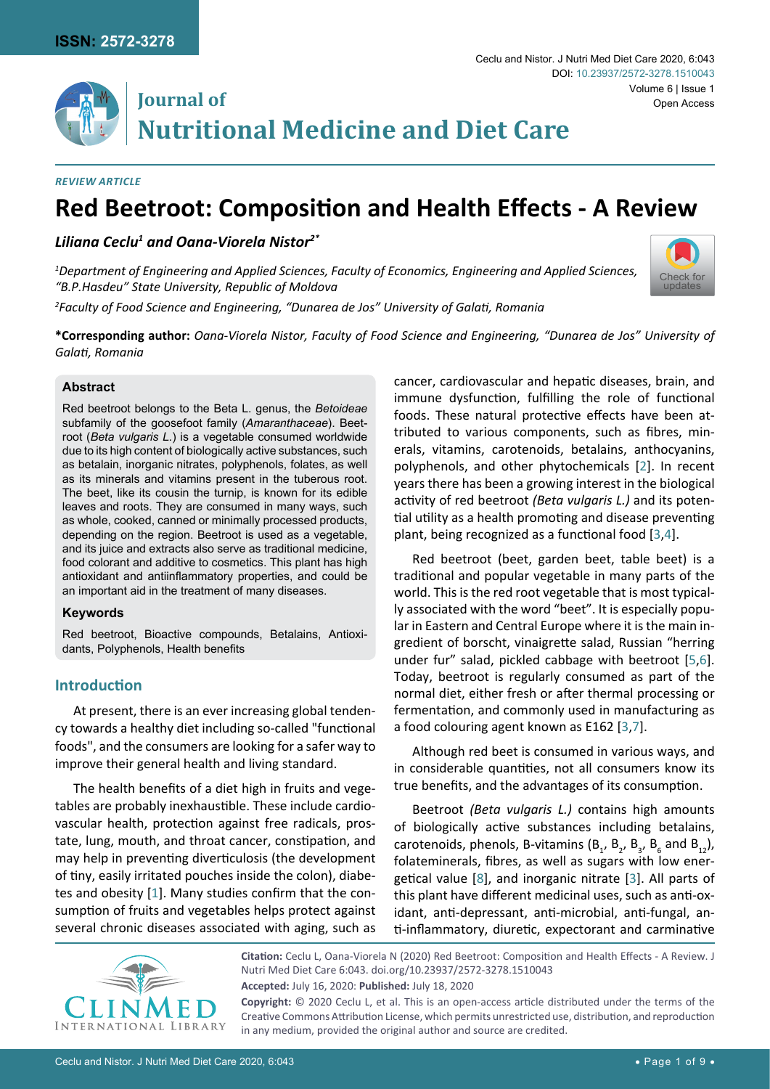

# **Journal of** Open Access **Nutritional Medicine and Diet Care**

#### *Review Article*

# **Red Beetroot: Composition and Health Effects - A Review**

*Liliana Ceclu1 and Oana-Viorela Nistor2\**

*1 Department of Engineering and Applied Sciences, Faculty of Economics, Engineering and Applied Sciences, "B.P.Hasdeu" State University, Republic of Moldova*

*2 Faculty of Food Science and Engineering, "Dunarea de Jos" University of Galati, Romania*



**\*Corresponding author:** *Oana-Viorela Nistor, Faculty of Food Science and Engineering, "Dunarea de Jos" University of Galati, Romania*

#### **Abstract**

Red beetroot belongs to the Beta L. genus, the *Betoideae* subfamily of the goosefoot family (*Amaranthaceae*). Beetroot (*Beta vulgaris L.*) is a vegetable consumed worldwide due to its high content of biologically active substances, such as betalain, inorganic nitrates, polyphenols, folates, as well as its minerals and vitamins present in the tuberous root. The beet, like its cousin the turnip, is known for its edible leaves and roots. They are consumed in many ways, such as whole, cooked, canned or minimally processed products, depending on the region. Beetroot is used as a vegetable, and its juice and extracts also serve as traditional medicine, food colorant and additive to cosmetics. This plant has high antioxidant and antiinflammatory properties, and could be an important aid in the treatment of many diseases.

# **Keywords**

Red beetroot, Bioactive compounds, Betalains, Antioxidants, Polyphenols, Health benefits

# **Introduction**

At present, there is an ever increasing global tendency towards a healthy diet including so-called "functional foods", and the consumers are looking for a safer way to improve their general health and living standard.

The health benefits of a diet high in fruits and vegetables are probably inexhaustible. These include cardiovascular health, protection against free radicals, prostate, lung, mouth, and throat cancer, constipation, and may help in preventing diverticulosis (the development of tiny, easily irritated pouches inside the colon), diabetes and obesity [\[1\]](#page-6-7). Many studies confirm that the consumption of fruits and vegetables helps protect against several chronic diseases associated with aging, such as cancer, cardiovascular and hepatic diseases, brain, and immune dysfunction, fulfilling the role of functional foods. These natural protective effects have been attributed to various components, such as fibres, minerals, vitamins, carotenoids, betalains, anthocyanins, polyphenols, and other phytochemicals [[2](#page-6-0)]. In recent years there has been a growing interest in the biological activity of red beetroot *(Beta vulgaris L.)* and its potential utility as a health promoting and disease preventing plant, being recognized as a functional food [[3](#page-6-1),[4](#page-6-2)].

Red beetroot (beet, garden beet, table beet) is a traditional and popular vegetable in many parts of the world. This is the red root vegetable that is most typically associated with the word "beet". It is especially popular in Eastern and Central Europe where it is the main ingredient of borscht, vinaigrette salad, Russian "herring under fur" salad, pickled cabbage with beetroot [[5](#page-6-3)[,6](#page-6-4)]. Today, beetroot is regularly consumed as part of the normal diet, either fresh or after thermal processing or fermentation, and commonly used in manufacturing as a food colouring agent known as E162 [[3](#page-6-1),[7\]](#page-6-5).

Although red beet is consumed in various ways, and in considerable quantities, not all consumers know its true benefits, and the advantages of its consumption.

Beetroot *(Beta vulgaris L.)* contains high amounts of biologically active substances including betalains, carotenoids, phenols, B-vitamins ( $B_1$ ,  $B_2$ ,  $B_3$ ,  $B_6$  and  $B_{12}$ ), folateminerals, fibres, as well as sugars with low energetical value [[8](#page-6-6)], and inorganic nitrate [[3](#page-6-1)]. All parts of this plant have different medicinal uses, such as anti-oxidant, anti-depressant, anti-microbial, anti-fungal, anti-inflammatory, diuretic, expectorant and carminative



**Citation:** Ceclu L, Oana-Viorela N (2020) Red Beetroot: Composition and Health Effects - A Review. J Nutri Med Diet Care 6:043. [doi.org/10.23937/2572-3278.1510043](https://doi.org/10.23937/2572-3278.1510043) **Accepted:** July 16, 2020: **Published:** July 18, 2020 **Copyright:** © 2020 Ceclu L, et al. This is an open-access article distributed under the terms of the Creative Commons Attribution License, which permits unrestricted use, distribution, and reproduction

in any medium, provided the original author and source are credited.

Ceclu and Nistor. J Nutri Med Diet Care 2020, 6:043 • Page 1 of 9 •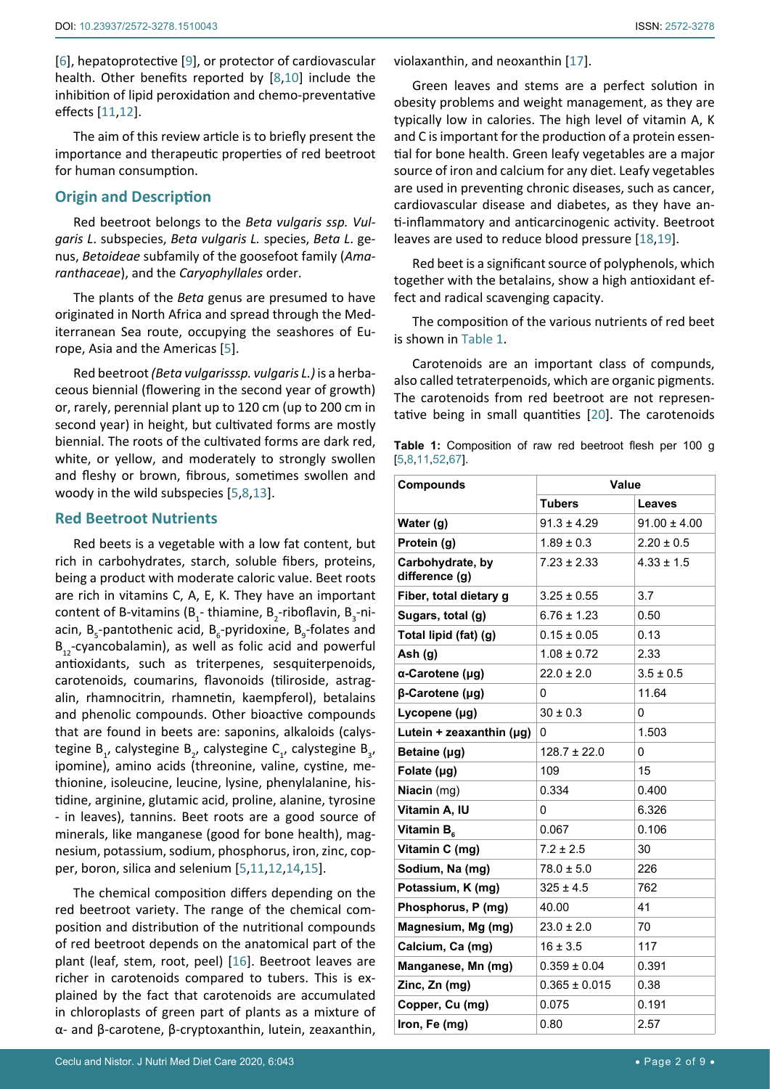[[6](#page-6-4)], hepatoprotective [\[9\]](#page-6-12), or protector of cardiovascular health. Other benefits reported by [[8](#page-6-6),[10](#page-6-13)] include the inhibition of lipid peroxidation and chemo-preventative effects [\[11](#page-6-14),[12](#page-6-15)].

The aim of this review article is to briefly present the importance and therapeutic properties of red beetroot for human consumption.

# **Origin and Description**

Red beetroot belongs to the *Beta vulgaris ssp. Vulgaris L*. subspecies, *Beta vulgaris L.* species, *Beta L*. genus, *Betoideae* subfamily of the goosefoot family (*Amaranthaceae*), and the *Caryophyllales* order.

The plants of the *Beta* genus are presumed to have originated in North Africa and spread through the Mediterranean Sea route, occupying the seashores of Europe, Asia and the Americas [\[5\]](#page-6-3).

Red beetroot *(Beta vulgarisssp. vulgaris L.)* is a [herba](http://en.wikipedia.org/wiki/Herbaceous_plant)[ceous](http://en.wikipedia.org/wiki/Herbaceous_plant) [biennial](http://en.wikipedia.org/wiki/Biennial_plant) (flowering in the second year of growth) or, rarely, [perennial plant](http://en.wikipedia.org/wiki/Perennial_plant) up to 120 cm (up to 200 cm in second year) in height, but cultivated forms are mostly biennial. The roots of the cultivated forms are dark red, white, or yellow, and moderately to strongly swollen and fleshy or brown, fibrous, sometimes swollen and woody in the wild subspecies [[5](#page-6-3),[8](#page-6-6),[13\]](#page-6-16).

#### **Red Beetroot Nutrients**

Red beets is a vegetable with a low fat content, but rich in carbohydrates, starch, soluble fibers, proteins, being a product with moderate caloric value. Beet roots are rich in vitamins C, A, E, K. They have an important content of B-vitamins (B<sub>1</sub>-[thiamine](https://en.wikipedia.org/wiki/Thiamine), B<sub>2</sub>-riboflavin, B<sub>3</sub>-niacin, B<sub>s</sub>-pantothenic acid, B<sub>6</sub>-pyridoxine, B<sub>9</sub>-folates and  $B_{12}$ -cyancobalamin), as well as folic acid and powerful antioxidants, such as triterpenes, sesquiterpenoids, carotenoids, coumarins, flavonoids (tiliroside, astragalin, rhamnocitrin, rhamnetin, kaempferol), betalains and phenolic compounds. Other bioactive compounds that are found in beets are: saponins, alkaloids (calystegine  $B_{1}$ , calystegine  $B_{2}$ , calystegine  $C_{1}$ , calystegine  $B_{3}$ , ipomine), amino acids (threonine, valine, cystine, methionine, isoleucine, leucine, lysine, phenylalanine, histidine, arginine, glutamic acid, proline, alanine, tyrosine - in leaves), tannins. Beet roots are a good source of minerals, like manganese (good for bone health), magnesium, potassium, sodium, phosphorus, iron, zinc, copper, boron, silica and selenium [\[5](#page-6-3),[11](#page-6-14),[12](#page-6-15),[14](#page-6-17),[15](#page-6-18)].

The chemical composition differs depending on the red beetroot variety. The range of the chemical composition and distribution of the nutritional compounds of red beetroot depends on the anatomical part of the plant (leaf, stem, root, peel) [[16\]](#page-6-19). Beetroot leaves are richer in carotenoids compared to tubers. This is explained by the fact that carotenoids are accumulated in chloroplasts of green part of plants as a mixture of α- and β-carotene, β-cryptoxanthin, lutein, zeaxanthin,

Green leaves and stems are a perfect solution in obesity problems and weight management, as they are typically low in calories. The high level of vitamin A, K and C is important for the production of a protein essential for bone health. Green leafy vegetables are a major source of iron and calcium for any diet. Leafy vegetables are used in preventing chronic diseases, such as cancer, cardiovascular disease and diabetes, as they have anti-inflammatory and anticarcinogenic activity. Beetroot leaves are used to reduce blood pressure [\[18](#page-6-9),[19](#page-6-10)].

Red beet is a significant source of polyphenols, which together with the betalains, show a high antioxidant effect and radical scavenging capacity.

The composition of the various nutrients of red beet is shown in [Table 1](#page-1-0).

Carotenoids are an important class of compunds, also called tetraterpenoids, which are organic pigments. The carotenoids from red beetroot are not representative being in small quantities [[20](#page-6-11)]. The carotenoids

<span id="page-1-0"></span>

|                        | <b>Table 1:</b> Composition of raw red beetroot flesh per 100 g |  |  |  |  |
|------------------------|-----------------------------------------------------------------|--|--|--|--|
| $[5, 8, 11, 52, 67]$ . |                                                                 |  |  |  |  |

| Compounds                          | Value             |                  |  |  |
|------------------------------------|-------------------|------------------|--|--|
|                                    | <b>Tubers</b>     | Leaves           |  |  |
| Water (g)                          | $91.3 \pm 4.29$   | $91.00 \pm 4.00$ |  |  |
| Protein (g)                        | $1.89 \pm 0.3$    | $2.20 \pm 0.5$   |  |  |
| Carbohydrate, by<br>difference (g) | $7.23 \pm 2.33$   | $4.33 \pm 1.5$   |  |  |
| Fiber, total dietary g             | $3.25 \pm 0.55$   | 3.7              |  |  |
| Sugars, total (g)                  | $6.76 \pm 1.23$   | 0.50             |  |  |
| Total lipid (fat) (g)              | $0.15 \pm 0.05$   | 0.13             |  |  |
| Ash (g)                            | $1.08 \pm 0.72$   | 2.33             |  |  |
| α-Carotene (µg)                    | $22.0 \pm 2.0$    | $3.5 \pm 0.5$    |  |  |
| β-Carotene (μg)                    | 0                 | 11.64            |  |  |
| Lycopene (µg)                      | $30 \pm 0.3$      | 0                |  |  |
| Lutein + zeaxanthin $(\mu g)$      | 0                 | 1.503            |  |  |
| Betaine (µg)                       | $128.7 \pm 22.0$  | 0                |  |  |
| Folate (µg)                        | 109               | 15               |  |  |
| Niacin (mg)                        | 0.334             | 0.400            |  |  |
| Vitamin A, IU                      | 0                 | 6.326            |  |  |
| Vitamin B <sub>s</sub>             | 0.067             | 0.106            |  |  |
| Vitamin C (mg)                     | $7.2 \pm 2.5$     | 30               |  |  |
| Sodium, Na (mg)                    | $78.0 \pm 5.0$    | 226              |  |  |
| Potassium, K (mg)                  | $325 \pm 4.5$     | 762              |  |  |
| Phosphorus, P (mg)                 | 40.00             | 41               |  |  |
| Magnesium, Mg (mg)                 | $23.0 \pm 2.0$    | 70               |  |  |
| Calcium, Ca (mg)                   | $16 \pm 3.5$      | 117              |  |  |
| Manganese, Mn (mg)                 | $0.359 \pm 0.04$  | 0.391            |  |  |
| Zinc, Zn (mg)                      | $0.365 \pm 0.015$ | 0.38             |  |  |
| Copper, Cu (mg)                    | 0.075             | 0.191            |  |  |
| Iron, Fe (mg)                      | 0.80              | 2.57             |  |  |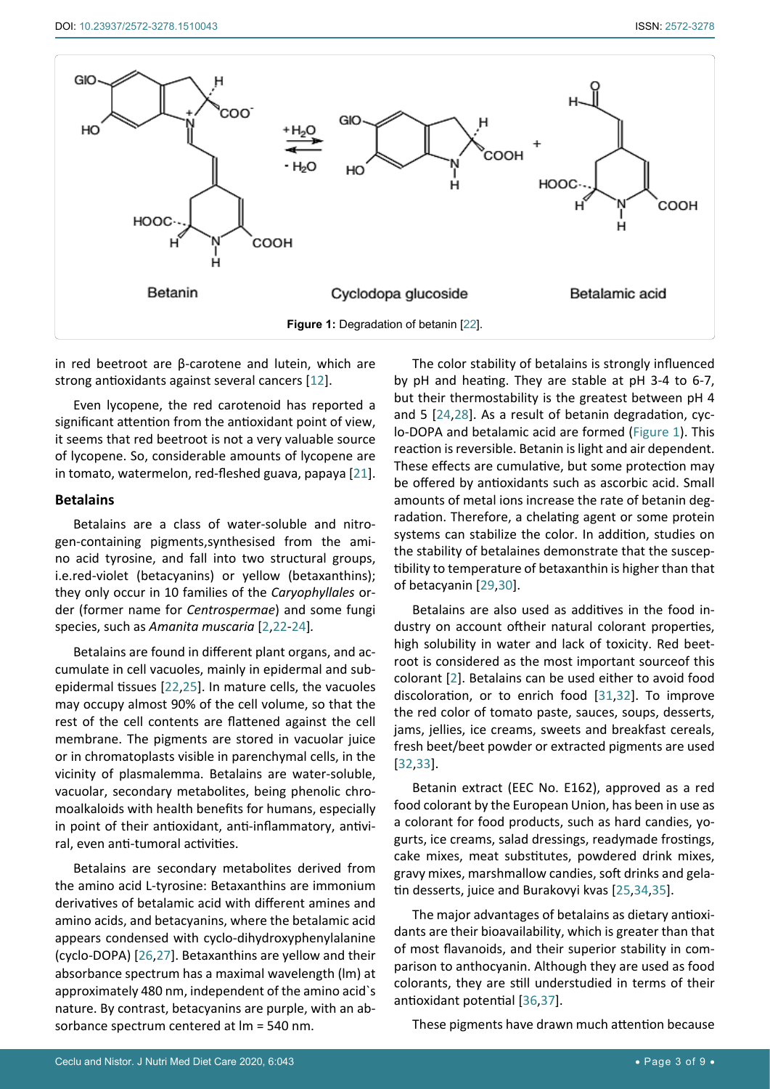<span id="page-2-0"></span>

in red beetroot are β-carotene and lutein, which are strong antioxidants against several cancers [[12\]](#page-6-15).

Even lycopene, the red carotenoid has reported a significant attention from the antioxidant point of view, it seems that red beetroot is not a very valuable source of lycopene. So, considerable amounts of lycopene are in tomato, watermelon, red-fleshed guava, papaya [\[21](#page-6-22)].

#### **Betalains**

Betalains are a class of water-soluble and nitrogen-containing pigments,synthesised from the amino acid tyrosine, and fall into two structural groups, i.e.red-violet (betacyanins) or yellow (betaxanthins); they only occur in 10 families of the *Caryophyllales* order (former name for *Centrospermae*) and some fungi species, such as *Amanita muscaria* [[2](#page-6-0)[,22](#page-6-23)-[24\]](#page-6-20)*.*

Betalains are found in different plant organs, and accumulate in cell vacuoles, mainly in epidermal and subepidermal tissues [[22,](#page-6-23)[25\]](#page-6-21). In mature cells, the vacuoles may occupy almost 90% of the cell volume, so that the rest of the cell contents are flattened against the cell membrane. The pigments are stored in vacuolar juice or in chromatoplasts visible in parenchymal cells, in the vicinity of plasmalemma. Betalains are water-soluble, vacuolar, secondary metabolites, being phenolic chromoalkaloids with health benefits for humans, especially in point of their antioxidant, anti-inflammatory, antiviral, even anti-tumoral activities.

Betalains are secondary metabolites derived from the amino acid L-tyrosine: Betaxanthins are immonium derivatives of betalamic acid with different amines and amino acids, and betacyanins, where the betalamic acid appears condensed with cyclo-dihydroxyphenylalanine (cyclo-DOPA) [[26](#page-6-24),[27](#page-6-25)]. Betaxanthins are yellow and their absorbance spectrum has a maximal wavelength (lm) at approximately 480 nm, independent of the amino acid`s nature. By contrast, betacyanins are purple, with an absorbance spectrum centered at lm = 540 nm.

The color stability of betalains is strongly influenced by pH and heating. They are stable at pH 3-4 to 6-7, but their thermostability is the greatest between pH 4 and 5 [[24,](#page-6-20)[28\]](#page-7-1). As a result of betanin degradation, cyclo-DOPA and betalamic acid are formed ([Figure 1\)](#page-2-0). This reaction is reversible. Betanin is light and air dependent. These effects are cumulative, but some protection may be offered by antioxidants such as ascorbic acid. Small amounts of metal ions increase the rate of betanin degradation. Therefore, a chelating agent or some protein systems can stabilize the color. In addition, studies on the stability of betalaines demonstrate that the susceptibility to temperature of betaxanthin is higher than that of betacyanin [\[29](#page-7-2)[,30](#page-7-3)].

Betalains are also used as additives in the food industry on account oftheir natural colorant properties, high solubility in water and lack of toxicity. Red beetroot is considered as the most important sourceof this colorant [[2](#page-6-0)]. Betalains can be used either to avoid food discoloration, or to enrich food [[31](#page-7-4),[32](#page-7-5)]. To improve the red color of tomato paste, sauces, soups, desserts, jams, jellies, ice creams, sweets and breakfast cereals, fresh beet/beet powder or extracted pigments are used [[32](#page-7-5)[,33](#page-7-6)].

Betanin extract (EEC No. E162), approved as a red food colorant by the European Union, has been in use as a colorant for food products, such as hard candies, yogurts, ice creams, salad dressings, readymade frostings, cake mixes, meat substitutes, powdered drink mixes, gravy mixes, marshmallow candies, soft drinks and gelatin desserts, juice and Burakovyi kvas [\[25](#page-6-21)[,34](#page-7-7),[35](#page-7-8)].

The major advantages of betalains as dietary antioxidants are their bioavailability, which is greater than that of most flavanoids, and their superior stability in comparison to anthocyanin. Although they are used as food colorants, they are still understudied in terms of their antioxidant potential [[36](#page-7-9),[37](#page-7-10)].

These pigments have drawn much attention because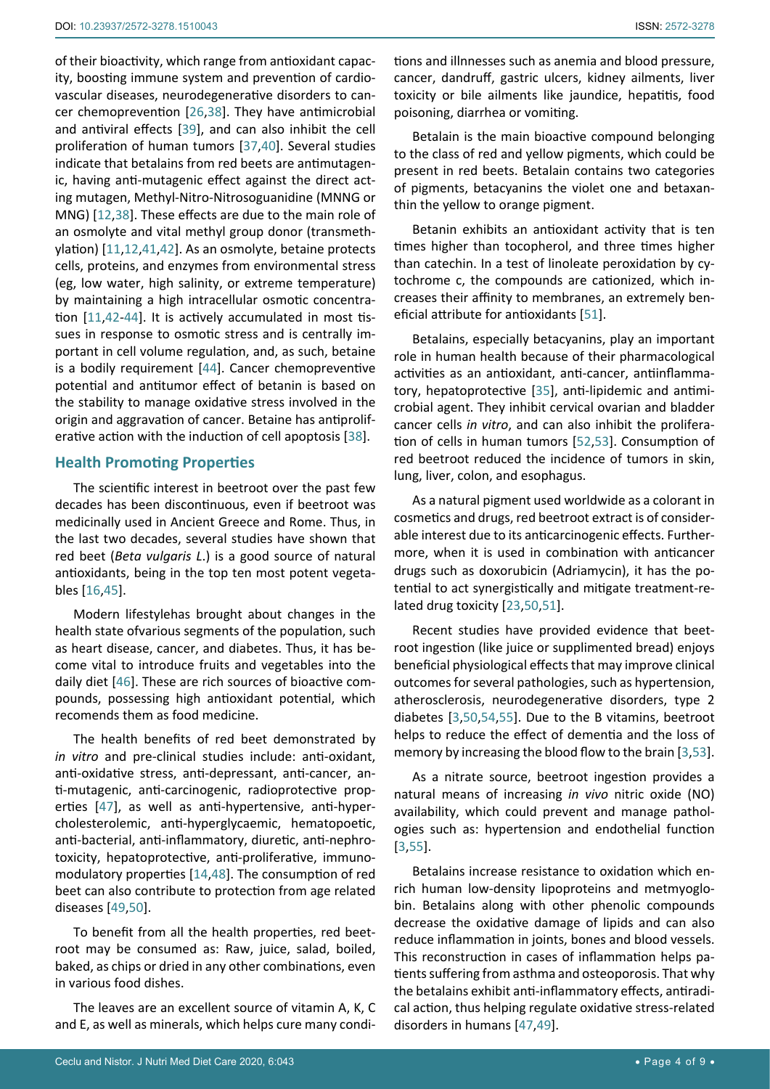of their bioactivity, which range from antioxidant capacity, boosting immune system and prevention of cardiovascular diseases, neurodegenerative disorders to cancer chemoprevention [[26,](#page-6-24)[38\]](#page-7-18). They have antimicrobial and antiviral effects [[39\]](#page-7-19), and can also inhibit the cell proliferation of human tumors [\[37](#page-7-10)[,40](#page-7-20)]. Several studies indicate that betalains from red beets are antimutagenic, having anti-mutagenic effect against the direct acting mutagen, Methyl-Nitro-Nitrosoguanidine (MNNG or MNG) [\[12](#page-6-15),[38](#page-7-18)]. These effects are due to the main role of an osmolyte and vital methyl group donor (transmethylation) [\[11](#page-6-14),[12](#page-6-15),[41](#page-7-21),[42](#page-7-22)]. As an osmolyte, betaine protects cells, proteins, and enzymes from environmental stress (eg, low water, high salinity, or extreme temperature) by maintaining a high intracellular osmotic concentration [[11](#page-6-14)[,42-](#page-7-22)[44](#page-7-23)]. It is actively accumulated in most tissues in response to osmotic stress and is centrally important in cell volume regulation, and, as such, betaine is a bodily requirement [[44](#page-7-23)]. Cancer chemopreventive potential and antitumor effect of betanin is based on the stability to manage oxidative stress involved in the origin and aggravation of cancer. Betaine has antiproliferative action with the induction of cell apoptosis [\[38](#page-7-18)].

### **Health Promoting Properties**

The scientific interest in beetroot over the past few decades has been discontinuous, even if beetroot was medicinally used in Ancient Greece and Rome. Thus, in the last two decades, several studies have shown that red beet (*Beta vulgaris L*.) is a good source of natural antioxidants, being in the top ten most potent vegetables [\[16](#page-6-19),[45\]](#page-7-24).

Modern lifestylehas brought about changes in the health state ofvarious segments of the population, such as heart disease, cancer, and diabetes. Thus, it has become vital to introduce fruits and vegetables into the daily diet [[46](#page-7-25)]. These are rich sources of bioactive compounds, possessing high antioxidant potential, which recomends them as food medicine.

The health benefits of red beet demonstrated by *in vitro* and pre-clinical studies include: anti-oxidant, anti-oxidative stress, anti-depressant, anti-cancer, anti-mutagenic, anti-carcinogenic, radioprotective properties [[47\]](#page-7-16), as well as anti-hypertensive, anti-hypercholesterolemic, anti-hyperglycaemic, hematopoetic, anti-bacterial, anti-inflammatory, diuretic, anti-nephrotoxicity, hepatoprotective, anti-proliferative, immunomodulatory properties [[14](#page-6-17),[48\]](#page-7-26). The consumption of red beet can also contribute to protection from age related diseases [[49](#page-7-17),[50\]](#page-7-13).

To benefit from all the health properties, red beetroot may be consumed as: Raw, juice, salad, boiled, baked, as chips or dried in any other combinations, even in various food dishes.

The leaves are an excellent source of vitamin A, K, C and E, as well as minerals, which helps cure many conditions and illnnesses such as anemia and blood pressure, cancer, dandruff, gastric ulcers, kidney ailments, liver toxicity or bile ailments like jaundice, hepatitis, food poisoning, diarrhea or vomiting.

Betalain is the main bioactive compound belonging to the class of red and yellow [pigments,](https://en.wikipedia.org/wiki/Biological_pigment) which could be present in red beets. Betalain contains two categories of pigments, betacyanins the violet one and betaxanthin the yellow to orange pigment.

Betanin exhibits an antioxidant activity that is ten times higher than tocopherol, and three times higher than catechin. In a test of linoleate peroxidation by cytochrome c, the compounds are cationized, which increases their affinity to membranes, an extremely beneficial attribute for antioxidants [[51\]](#page-7-11).

Betalains, especially betacyanins, play an important role in human health because of their pharmacological activities as an antioxidant, anti-cancer, antiinflammatory, hepatoprotective [\[35](#page-7-8)], anti-lipidemic and antimicrobial agent. They inhibit cervical ovarian and bladder cancer cells *in vitro*, and can also inhibit the proliferation of cells in human tumors [\[52](#page-7-0),[53](#page-7-12)]. Consumption of red beetroot reduced the incidence of tumors in skin, lung, liver, colon, and esophagus.

As a natural pigment used worldwide as a colorant in cosmetics and drugs, red beetroot extract is of considerable interest due to its anticarcinogenic effects. Furthermore, when it is used in combination with anticancer drugs such as doxorubicin (Adriamycin), it has the potential to act synergistically and mitigate treatment-related drug toxicity [[23,](#page-6-26)[50](#page-7-13),[51](#page-7-11)].

Recent studies have provided evidence that beetroot ingestion (like juice or supplimented bread) enjoys beneficial physiological effects that may improve clinical outcomes for several pathologies, such as hypertension, atherosclerosis, neurodegenerative disorders, type 2 diabetes [[3](#page-6-1),[50](#page-7-13),[54](#page-7-14),[55](#page-7-15)]. Due to the B vitamins, beetroot helps to reduce the effect of dementia and the loss of memory by increasing the blood flow to the brain [[3,](#page-6-1)[53\]](#page-7-12).

As a nitrate source, beetroot ingestion provides a natural means of increasing *in vivo* nitric oxide (NO) availability, which could prevent and manage pathologies such as: hypertension and endothelial function [[3,](#page-6-1)[55\]](#page-7-15).

Betalains increase resistance to oxidation which enrich human low-density lipoproteins and metmyoglobin. Betalains along with other phenolic compounds decrease the oxidative damage of lipids and can also reduce inflammation in joints, bones and blood vessels. This reconstruction in cases of inflammation helps patients suffering from asthma and osteoporosis. That why the betalains exhibit anti-inflammatory effects, antiradical action, thus helping regulate oxidative stress-related disorders in humans [\[47](#page-7-16),[49](#page-7-17)].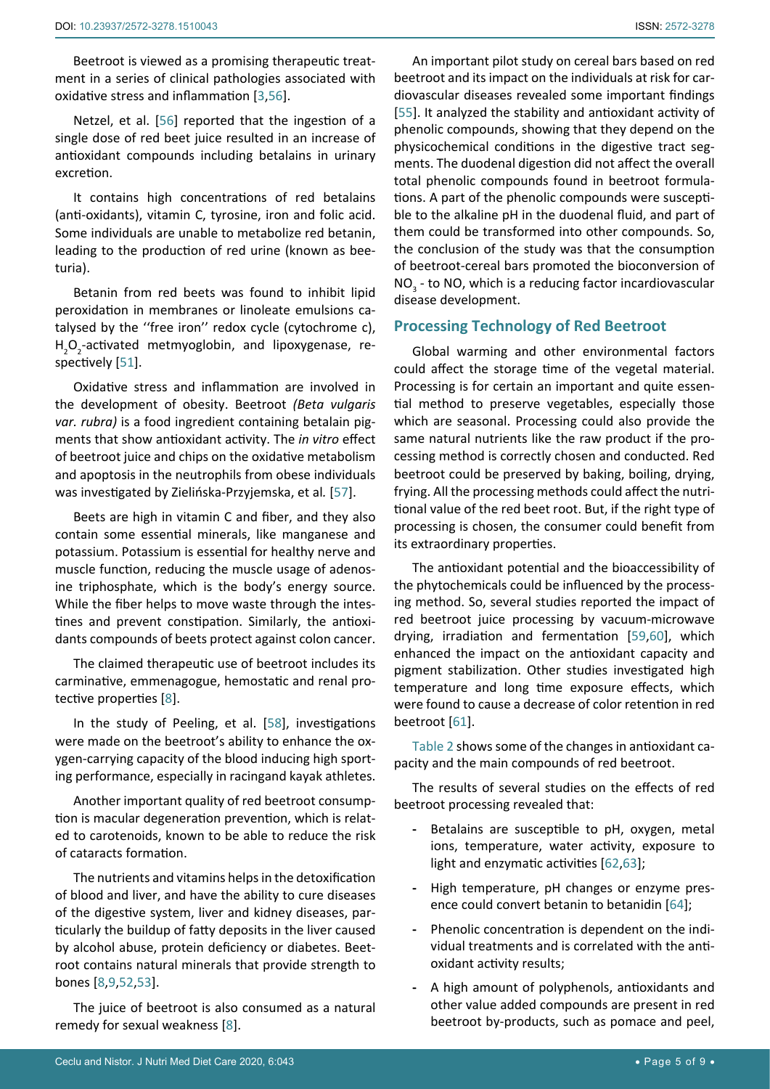Beetroot is viewed as a promising therapeutic treatment in a series of clinical pathologies associated with oxidative stress and inflammation [[3,](#page-6-1)[56\]](#page-7-27).

Netzel, et al. [\[56](#page-7-27)] reported that the ingestion of a single dose of red beet juice resulted in an increase of antioxidant compounds including betalains in urinary excretion.

It contains high concentrations of red betalains (anti-oxidants), vitamin C, tyrosine, iron and folic acid. Some individuals are unable to metabolize red betanin, leading to the production of red urine (known as beeturia).

Betanin from red beets was found to inhibit lipid peroxidation in membranes or linoleate emulsions catalysed by the ''free iron'' redox cycle (cytochrome c), H<sub>2</sub>O<sub>2</sub>-activated metmyoglobin, and lipoxygenase, respectively [[51\]](#page-7-11).

Oxidative stress and inflammation are involved in the development of obesity. Beetroot *(Beta vulgaris var. rubra)* is a food ingredient containing betalain pigments that show antioxidant activity. The *in vitro* effect of beetroot juice and chips on the oxidative metabolism and apoptosis in the neutrophils from obese individuals was investigated by Zielińska-Przyjemska, et al*.* [\[57](#page-7-28)].

Beets are high in vitamin C and fiber, and they also contain some essential minerals, like manganese and potassium. Potassium is essential for healthy nerve and muscle function, reducing the muscle usage of adenosine triphosphate, which is the body's energy source. While the fiber helps to move waste through the intestines and prevent constipation. Similarly, the antioxidants compounds of beets protect against colon cancer.

The claimed therapeutic use of beetroot includes its carminative, emmenagogue, hemostatic and renal protective properties [[8](#page-6-6)].

In the study of [Peeling](https://www.ncbi.nlm.nih.gov/pubmed/?term=Peeling P%5BAuthor%5D&cauthor=true&cauthor_uid=25202886), et al. [[58\]](#page-7-29), investigations were made on the beetroot's ability to enhance the oxygen-carrying capacity of the blood inducing high sporting performance, especially in racingand kayak athletes.

Another important quality of red beetroot consumption is macular degeneration prevention, which is related to carotenoids, known to be able to reduce the risk of cataracts formation.

The nutrients and vitamins helps in the detoxification of blood and liver, and have the ability to cure diseases of the digestive system, liver and kidney diseases, particularly the buildup of fatty deposits in the liver caused by alcohol abuse, protein deficiency or diabetes. Beetroot contains natural minerals that provide strength to bones [[8](#page-6-6),[9](#page-6-12),[52](#page-7-0),[53](#page-7-12)].

The juice of beetroot is also consumed as a natural remedy for sexual weakness [[8](#page-6-6)].

An important pilot study on cereal bars based on red beetroot and its impact on the individuals at risk for cardiovascular diseases revealed some important findings [\[55](#page-7-15)]. It analyzed the stability and antioxidant activity of phenolic compounds, showing that they depend on the physicochemical conditions in the digestive tract segments. The duodenal digestion did not affect the overall total phenolic compounds found in beetroot formulations. A part of the phenolic compounds were susceptible to the alkaline pH in the duodenal fluid, and part of them could be transformed into other compounds. So, the conclusion of the study was that the consumption of beetroot-cereal bars promoted the bioconversion of  $NO<sub>3</sub>$  - to NO, which is a reducing factor incardiovascular disease development.

# **Processing Technology of Red Beetroot**

Global warming and other environmental factors could affect the storage time of the vegetal material. Processing is for certain an important and quite essential method to preserve vegetables, especially those which are seasonal. Processing could also provide the same natural nutrients like the raw product if the processing method is correctly chosen and conducted. Red beetroot could be preserved by baking, boiling, drying, frying. All the processing methods could affect the nutritional value of the red beet root. But, if the right type of processing is chosen, the consumer could benefit from its extraordinary properties.

The antioxidant potential and the bioaccessibility of the phytochemicals could be influenced by the processing method. So, several studies reported the impact of red beetroot juice processing by vacuum-microwave drying, irradiation and fermentation [\[59](#page-8-1)[,60](#page-8-2)], which enhanced the impact on the antioxidant capacity and pigment stabilization. Other studies investigated high temperature and long time exposure effects, which were found to cause a decrease of color retention in red beetroot [\[61](#page-8-3)].

[Table 2](#page-5-0) shows some of the changes in antioxidant capacity and the main compounds of red beetroot.

The results of several studies on the effects of red beetroot processing revealed that:

- **-** Betalains are susceptible to pH, oxygen, metal ions, temperature, water activity, exposure to light and enzymatic activities [[62,](#page-8-4)[63](#page-8-5)];
- **-** High temperature, pH changes or enzyme presence could convert betanin to betanidin [[64](#page-8-6)];
- **-** Phenolic concentration is dependent on the individual treatments and is correlated with the antioxidant activity results;
- **-** A high amount of polyphenols, antioxidants and other value added compounds are present in red beetroot by-products, such as pomace and peel,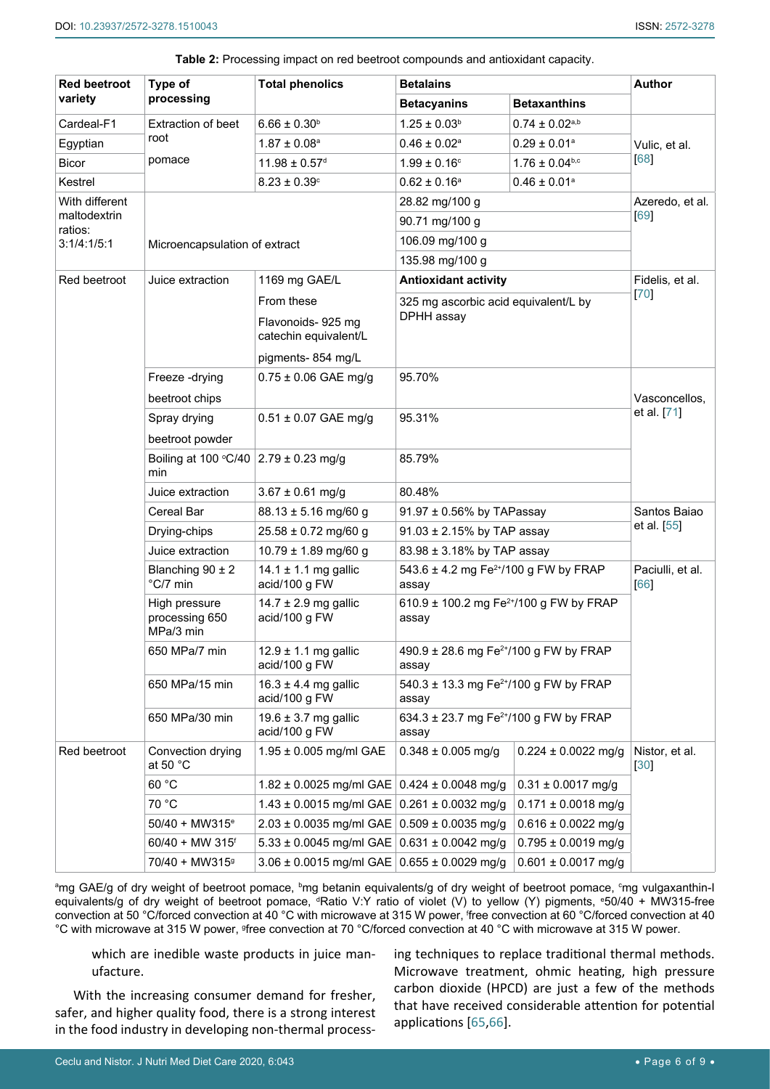| <b>Red beetroot</b>                    | Type of                                      | <b>Total phenolics</b>                                                                                    | <b>Betalains</b>                                             | <b>Author</b>                                               |                          |  |
|----------------------------------------|----------------------------------------------|-----------------------------------------------------------------------------------------------------------|--------------------------------------------------------------|-------------------------------------------------------------|--------------------------|--|
| variety                                | processing                                   |                                                                                                           | <b>Betaxanthins</b><br><b>Betacyanins</b>                    |                                                             |                          |  |
| Cardeal-F1                             | Extraction of beet                           | $6.66 \pm 0.30^b$                                                                                         | $1.25 \pm 0.03^b$                                            | $0.74 \pm 0.02^{\text{a},\text{b}}$                         |                          |  |
| Egyptian                               | root                                         | $1.87 \pm 0.08$ <sup>a</sup>                                                                              | $0.46 \pm 0.02^a$                                            | $0.29 \pm 0.01^a$                                           | Vulic, et al.            |  |
| <b>Bicor</b>                           | pomace                                       | $11.98 \pm 0.57$ <sup>d</sup>                                                                             | $1.99 \pm 0.16^{\circ}$                                      | $1.76 \pm 0.04^{b,c}$                                       | 68                       |  |
| Kestrel                                |                                              | $8.23 \pm 0.39^{\circ}$                                                                                   | $0.62 \pm 0.16^a$                                            | $0.46 \pm 0.01^a$                                           |                          |  |
| With different                         |                                              |                                                                                                           | 28.82 mg/100 g                                               |                                                             | Azeredo, et al.          |  |
| maltodextrin<br>ratios:<br>3:1/4:1/5:1 |                                              |                                                                                                           | 90.71 mg/100 g                                               | [69]                                                        |                          |  |
|                                        | Microencapsulation of extract                |                                                                                                           | 106.09 mg/100 g                                              |                                                             |                          |  |
|                                        |                                              |                                                                                                           | 135.98 mg/100 g                                              |                                                             |                          |  |
| Red beetroot                           | Juice extraction                             | 1169 mg GAE/L                                                                                             | <b>Antioxidant activity</b>                                  | Fidelis, et al.<br>70                                       |                          |  |
|                                        |                                              | From these                                                                                                | 325 mg ascorbic acid equivalent/L by<br>DPHH assay           |                                                             |                          |  |
|                                        |                                              | Flavonoids-925 mg                                                                                         |                                                              |                                                             |                          |  |
|                                        |                                              | catechin equivalent/L                                                                                     |                                                              |                                                             |                          |  |
|                                        |                                              | pigments-854 mg/L                                                                                         |                                                              |                                                             |                          |  |
|                                        | Freeze-drying                                | $0.75 \pm 0.06$ GAE mg/g                                                                                  | 95.70%                                                       |                                                             |                          |  |
|                                        | beetroot chips                               |                                                                                                           |                                                              | Vasconcellos,<br>et al. [71]                                |                          |  |
|                                        | Spray drying                                 | $0.51 \pm 0.07$ GAE mg/g                                                                                  | 95.31%                                                       |                                                             |                          |  |
|                                        | beetroot powder                              |                                                                                                           |                                                              |                                                             |                          |  |
|                                        | Boiling at 100 °C/40<br>min                  | $2.79 \pm 0.23$ mg/g                                                                                      | 85.79%                                                       |                                                             |                          |  |
|                                        | Juice extraction                             | $3.67 \pm 0.61$ mg/g                                                                                      | 80.48%                                                       |                                                             |                          |  |
|                                        | Cereal Bar                                   | $88.13 \pm 5.16$ mg/60 g                                                                                  | 91.97 ± 0.56% by TAPassay                                    | Santos Baiao<br>et al. [55]                                 |                          |  |
|                                        | Drying-chips                                 | $25.58 \pm 0.72$ mg/60 g                                                                                  | 91.03 ± 2.15% by TAP assay                                   |                                                             |                          |  |
|                                        | Juice extraction                             | $10.79 \pm 1.89$ mg/60 g                                                                                  | 83.98 ± 3.18% by TAP assay                                   |                                                             |                          |  |
|                                        | Blanching $90 \pm 2$<br>°C/7 min             | 14.1 $\pm$ 1.1 mg gallic<br>acid/100 g FW                                                                 | 543.6 ± 4.2 mg Fe <sup>2+</sup> /100 g FW by FRAP<br>assay   | Paciulli, et al.<br>[66]                                    |                          |  |
|                                        | High pressure<br>processing 650<br>MPa/3 min | $14.7 \pm 2.9$ mg gallic<br>acid/100 g FW                                                                 | 610.9 ± 100.2 mg Fe <sup>2+</sup> /100 g FW by FRAP<br>assay |                                                             |                          |  |
|                                        | 650 MPa/7 min                                | $12.9 \pm 1.1$ mg gallic<br>acid/100 g FW                                                                 | 490.9 ± 28.6 mg Fe <sup>2+</sup> /100 g FW by FRAP<br>assay  |                                                             |                          |  |
|                                        | 650 MPa/15 min                               | $16.3 \pm 4.4$ mg gallic<br>acid/100 g FW                                                                 | 540.3 ± 13.3 mg Fe <sup>2+</sup> /100 g FW by FRAP<br>assay  |                                                             |                          |  |
|                                        | 650 MPa/30 min                               | 19.6 $\pm$ 3.7 mg gallic<br>acid/100 g FW                                                                 |                                                              | 634.3 ± 23.7 mg Fe <sup>2+</sup> /100 g FW by FRAP<br>assay |                          |  |
| Red beetroot                           | Convection drying<br>at 50 $^{\circ}$ C      | $1.95 \pm 0.005$ mg/ml GAE                                                                                | $0.348 \pm 0.005$ mg/g                                       | $0.224 \pm 0.0022$ mg/g                                     | Nistor, et al.<br>$[30]$ |  |
|                                        | 60 °C                                        | 1.82 ± 0.0025 mg/ml GAE $\vert$ 0.424 ± 0.0048 mg/g                                                       |                                                              | $0.31 \pm 0.0017$ mg/g                                      |                          |  |
|                                        | 70 °C                                        | 1.43 ± 0.0015 mg/ml GAE $\vert$ 0.261 ± 0.0032 mg/g                                                       |                                                              | $0.171 \pm 0.0018$ mg/g                                     |                          |  |
|                                        | $50/40 + MW315^e$                            | $2.03 \pm 0.0035$ mg/ml GAE 0.509 $\pm$ 0.0035 mg/g<br>5.33 ± 0.0045 mg/ml GAE<br>$0.631 \pm 0.0042$ mg/g |                                                              | $0.616 \pm 0.0022$ mg/g                                     |                          |  |
|                                        | $60/40 + MW$ 315 <sup>f</sup>                |                                                                                                           |                                                              | $0.795 \pm 0.0019$ mg/g                                     |                          |  |
|                                        | 70/40 + MW315 <sup>9</sup>                   | $3.06 \pm 0.0015$ mg/ml GAE 0.655 ± 0.0029 mg/g                                                           |                                                              | $0.601 \pm 0.0017$ mg/g                                     |                          |  |

<span id="page-5-0"></span>

<sup>a</sup>mg GAE/g of dry weight of beetroot pomace, <sup>b</sup>mg betanin equivalents/g of dry weight of beetroot pomace, <sup>c</sup>mg vulgaxanthin-I equivalents/g of dry weight of beetroot pomace, dRatio V:Y ratio of violet (V) to yellow (Y) pigments, °50/40 + MW315-free convection at 50 °C/forced convection at 40 °C with microwave at 315 W power, f free convection at 60 °C/forced convection at 40 °C with microwave at 315 W power, <sup>g</sup>free convection at 70 °C/forced convection at 40 °C with microwave at 315 W power.

which are inedible waste products in juice manufacture.

With the increasing consumer demand for fresher, safer, and higher quality food, there is a strong interest in the food industry in developing non-thermal processing techniques to replace traditional thermal methods. Microwave treatment, ohmic heating, high pressure carbon dioxide (HPCD) are just a few of the methods that have received considerable attention for potential applications [\[65](#page-8-12)[,66](#page-8-11)].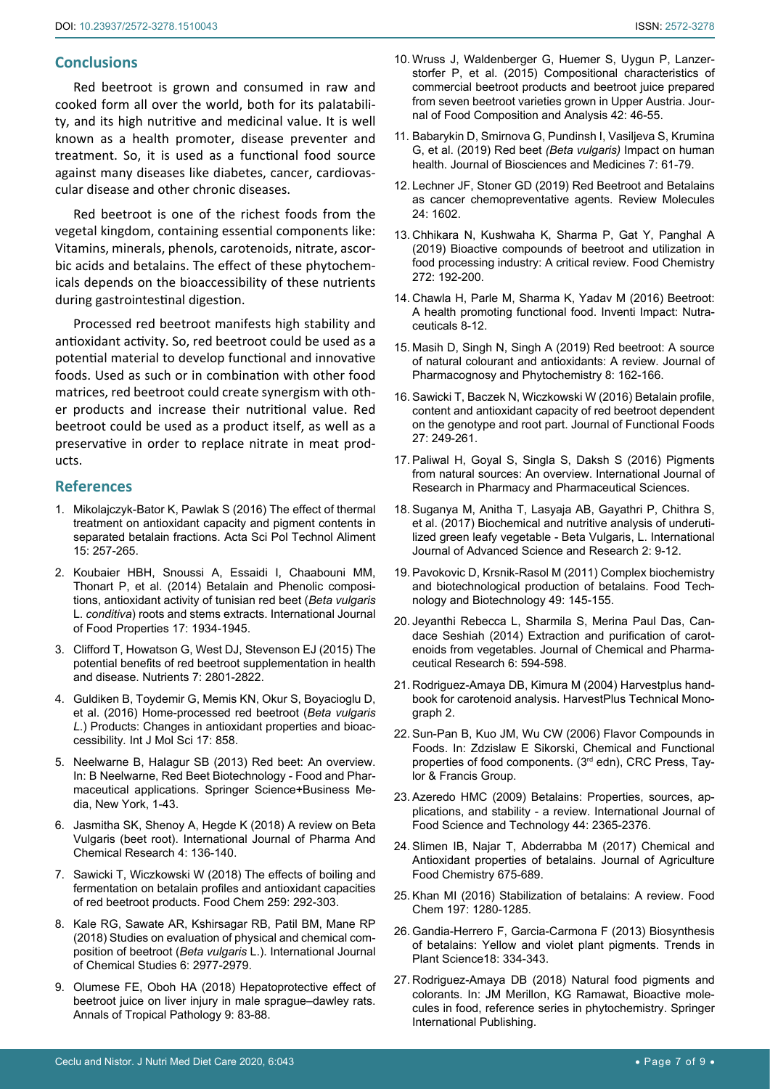## **Conclusions**

Red beetroot is grown and consumed in raw and cooked form all over the world, both for its palatability, and its high nutritive and medicinal value. It is well known as a health promoter, disease preventer and treatment. So, it is used as a functional food source against many diseases like diabetes, cancer, cardiovascular disease and other chronic diseases.

Red beetroot is one of the richest foods from the vegetal kingdom, containing essential components like: Vitamins, minerals, phenols, carotenoids, nitrate, ascorbic acids and betalains. The effect of these phytochemicals depends on the bioaccessibility of these nutrients during gastrointestinal digestion.

Processed red beetroot manifests high stability and antioxidant activity. So, red beetroot could be used as a potential material to develop functional and innovative foods. Used as such or in combination with other food matrices, red beetroot could create synergism with other products and increase their nutritional value. Red beetroot could be used as a product itself, as well as a preservative in order to replace nitrate in meat products.

#### **References**

- <span id="page-6-7"></span>1. [Mikolajczyk-Bator K, Pawlak S \(2016\) The effect of thermal](https://pubmed.ncbi.nlm.nih.gov/28071025/)  [treatment on antioxidant capacity and pigment contents in](https://pubmed.ncbi.nlm.nih.gov/28071025/)  [separated betalain fractions. Acta Sci Pol Technol Aliment](https://pubmed.ncbi.nlm.nih.gov/28071025/) [15: 257-265.](https://pubmed.ncbi.nlm.nih.gov/28071025/)
- <span id="page-6-0"></span>2. [Koubaier HBH, Snoussi A, Essaidi I, Chaabouni MM,](https://www.tandfonline.com/doi/full/10.1080/10942912.2013.772196)  [Thonart P, et al. \(2014\) Betalain and Phenolic composi](https://www.tandfonline.com/doi/full/10.1080/10942912.2013.772196)[tions, antioxidant activity of tunisian red beet \(](https://www.tandfonline.com/doi/full/10.1080/10942912.2013.772196)*Beta vulgaris* L. *conditiva*[\) roots and stems extracts. International Journal](https://www.tandfonline.com/doi/full/10.1080/10942912.2013.772196)  [of Food Properties 17: 1934-1945.](https://www.tandfonline.com/doi/full/10.1080/10942912.2013.772196)
- <span id="page-6-1"></span>3. [Clifford T, Howatson G, West DJ, Stevenson EJ \(2015\) The](https://pubmed.ncbi.nlm.nih.gov/25875121/)  [potential benefits of red beetroot supplementation in health](https://pubmed.ncbi.nlm.nih.gov/25875121/)  [and disease. Nutrients 7: 2801-2822.](https://pubmed.ncbi.nlm.nih.gov/25875121/)
- <span id="page-6-2"></span>4. [Guldiken B, Toydemir G, Memis KN, Okur S, Boyacioglu D,](https://www.ncbi.nlm.nih.gov/pmc/articles/PMC4926392/)  [et al. \(2016\) Home-processed red beetroot \(](https://www.ncbi.nlm.nih.gov/pmc/articles/PMC4926392/)*Beta vulgaris L*[.\) Products: Changes in antioxidant properties and bioac](https://www.ncbi.nlm.nih.gov/pmc/articles/PMC4926392/)cessibility*.* [Int J Mol Sci 17: 858.](https://www.ncbi.nlm.nih.gov/pmc/articles/PMC4926392/)
- <span id="page-6-3"></span>5. [Neelwarne B, Halagur SB \(2013\) Red beet: An overview.](https://link.springer.com/content/pdf/bfm%3A978-1-4614-3458-0%2F1.pdf)  [In: B Neelwarne, Red Beet Biotechnology - Food and Phar](https://link.springer.com/content/pdf/bfm%3A978-1-4614-3458-0%2F1.pdf)[maceutical applications. Springer Science+Business Me](https://link.springer.com/content/pdf/bfm%3A978-1-4614-3458-0%2F1.pdf)[dia, New York, 1-43.](https://link.springer.com/content/pdf/bfm%3A978-1-4614-3458-0%2F1.pdf)
- <span id="page-6-4"></span>6. [Jasmitha SK, Shenoy A, Hegde K \(2018\) A review on Beta](https://www.semanticscholar.org/paper/A-REVIEW-ON-BETA-VULGARIS-(BEET-ROOT)-Jasmitha-Shenoy/71857d0bf2a38010e24073517dba7465127e14f6)  [Vulgaris \(beet root\). International Journal of Pharma And](https://www.semanticscholar.org/paper/A-REVIEW-ON-BETA-VULGARIS-(BEET-ROOT)-Jasmitha-Shenoy/71857d0bf2a38010e24073517dba7465127e14f6)  [Chemical Research 4: 136-140.](https://www.semanticscholar.org/paper/A-REVIEW-ON-BETA-VULGARIS-(BEET-ROOT)-Jasmitha-Shenoy/71857d0bf2a38010e24073517dba7465127e14f6)
- <span id="page-6-5"></span>7. [Sawicki T, Wiczkowski W \(2018\) The effects of boiling and](https://pubmed.ncbi.nlm.nih.gov/29680057/)  [fermentation on betalain profiles and antioxidant capacities](https://pubmed.ncbi.nlm.nih.gov/29680057/)  [of red beetroot products. Food Chem 259: 292-303.](https://pubmed.ncbi.nlm.nih.gov/29680057/)
- <span id="page-6-6"></span>8. [Kale RG, Sawate AR, Kshirsagar RB, Patil BM, Mane RP](http://www.chemijournal.com/archives/?year=2019&vol=7&issue=2&ArticleId=5164&si=false)  [\(2018\) Studies on evaluation of physical and chemical com](http://www.chemijournal.com/archives/?year=2019&vol=7&issue=2&ArticleId=5164&si=false)position of beetroot (*Beta vulgaris* [L.\). International Journal](http://www.chemijournal.com/archives/?year=2019&vol=7&issue=2&ArticleId=5164&si=false)  [of Chemical Studies 6: 2977-2979.](http://www.chemijournal.com/archives/?year=2019&vol=7&issue=2&ArticleId=5164&si=false)
- <span id="page-6-12"></span>9. [Olumese FE, Oboh HA \(2018\) Hepatoprotective effect of](http://www.atpjournal.org/article.asp?issn=2251-0060;year=2018;volume=9;issue=1;spage=83;epage=88;aulast=Olumese)  [beetroot juice on liver injury in male sprague–dawley rats.](http://www.atpjournal.org/article.asp?issn=2251-0060;year=2018;volume=9;issue=1;spage=83;epage=88;aulast=Olumese)  [Annals of Tropical Pathology 9: 83-88.](http://www.atpjournal.org/article.asp?issn=2251-0060;year=2018;volume=9;issue=1;spage=83;epage=88;aulast=Olumese)
- <span id="page-6-13"></span>10. [Wruss J, Waldenberger G, Huemer S, Uygun P, Lanzer](https://www.sciencedirect.com/science/article/pii/S0889157515001003)[storfer P, et al. \(2015\) Compositional characteristics of](https://www.sciencedirect.com/science/article/pii/S0889157515001003)  [commercial beetroot products and beetroot juice prepared](https://www.sciencedirect.com/science/article/pii/S0889157515001003)  [from seven beetroot varieties grown in Upper Austria. Jour](https://www.sciencedirect.com/science/article/pii/S0889157515001003)[nal of Food Composition and Analysis 42: 46-55.](https://www.sciencedirect.com/science/article/pii/S0889157515001003)
- <span id="page-6-14"></span>11. Babarykin D, Smirnova G, Pundinsh I, Vasiljeva S, Krumina G, et al. (2019) Red beet *(Beta vulgaris)* Impact on human health. Journal of Biosciences and Medicines 7: 61-79.
- <span id="page-6-15"></span>12. [Lechner JF, Stoner GD \(2019\) Red Beetroot and Betalains](https://pubmed.ncbi.nlm.nih.gov/31018549/)  [as cancer chemopreventative agents. Review Molecules](https://pubmed.ncbi.nlm.nih.gov/31018549/) [24: 1602.](https://pubmed.ncbi.nlm.nih.gov/31018549/)
- <span id="page-6-16"></span>13. [Chhikara N, Kushwaha K, Sharma P, Gat Y, Panghal A](https://www.semanticscholar.org/paper/Bioactive-compounds-of-beetroot-and-utilization-in-Chhikara-Kushwaha/f1d1f8e42ccbf8c377075ec2cf313a38a047dcd1)  [\(2019\) Bioactive compounds of beetroot and utilization in](https://www.semanticscholar.org/paper/Bioactive-compounds-of-beetroot-and-utilization-in-Chhikara-Kushwaha/f1d1f8e42ccbf8c377075ec2cf313a38a047dcd1)  [food processing industry: A critical review. Food Chemistry](https://www.semanticscholar.org/paper/Bioactive-compounds-of-beetroot-and-utilization-in-Chhikara-Kushwaha/f1d1f8e42ccbf8c377075ec2cf313a38a047dcd1)  [272: 192-200.](https://www.semanticscholar.org/paper/Bioactive-compounds-of-beetroot-and-utilization-in-Chhikara-Kushwaha/f1d1f8e42ccbf8c377075ec2cf313a38a047dcd1)
- <span id="page-6-17"></span>14. Chawla H, Parle M, Sharma K, Yadav M (2016) Beetroot: A health promoting functional food. Inventi Impact: Nutraceuticals 8-12.
- <span id="page-6-18"></span>15. [Masih D, Singh N, Singh A \(2019\) Red beetroot: A source](https://www.semanticscholar.org/paper/Red-beetroot%3A-A-source-of-natural-colourant-and-A-Masih-Singh/d16b945dc2e140433620b26195ca98d63a970219)  [of natural colourant and antioxidants: A review. Journal of](https://www.semanticscholar.org/paper/Red-beetroot%3A-A-source-of-natural-colourant-and-A-Masih-Singh/d16b945dc2e140433620b26195ca98d63a970219)  [Pharmacognosy and Phytochemistry 8: 162-166.](https://www.semanticscholar.org/paper/Red-beetroot%3A-A-source-of-natural-colourant-and-A-Masih-Singh/d16b945dc2e140433620b26195ca98d63a970219)
- <span id="page-6-19"></span>16. [Sawicki T, Baczek N, Wiczkowski W \(2016\) Betalain profile,](https://www.sciencedirect.com/science/article/abs/pii/S1756464616302808)  [content and antioxidant capacity of red beetroot dependent](https://www.sciencedirect.com/science/article/abs/pii/S1756464616302808)  [on the genotype and root part. Journal of Functional Foods](https://www.sciencedirect.com/science/article/abs/pii/S1756464616302808)  [27: 249-261.](https://www.sciencedirect.com/science/article/abs/pii/S1756464616302808)
- <span id="page-6-8"></span>17. [Paliwal H, Goyal S, Singla S, Daksh S \(2016\) Pigments](file:///C:\Users\tejas\Downloads\1-3-13-705.pdf)  [from natural sources: An overview. International Journal of](file:///C:\Users\tejas\Downloads\1-3-13-705.pdf)  [Research in Pharmacy and Pharmaceutical Sciences.](file:///C:\Users\tejas\Downloads\1-3-13-705.pdf)
- <span id="page-6-9"></span>18. Suganya M, Anitha T, Lasyaja AB, Gayathri P, Chithra S, et al. (2017) Biochemical and nutritive analysis of underutilized green leafy vegetable - Beta Vulgaris, L. International Journal of Advanced Science and Research 2: 9-12.
- <span id="page-6-10"></span>19. [Pavokovic D, Krsnik-Rasol M \(2011\) Complex biochemistry](https://www.ftb.com.hr/archives/55-49-2/1131-complex-biochemistry-and-biotechnological-production-of-betalains)  [and biotechnological production of betalains. Food Tech](https://www.ftb.com.hr/archives/55-49-2/1131-complex-biochemistry-and-biotechnological-production-of-betalains)[nology and Biotechnology 49: 145-155.](https://www.ftb.com.hr/archives/55-49-2/1131-complex-biochemistry-and-biotechnological-production-of-betalains)
- <span id="page-6-11"></span>20. [Jeyanthi Rebecca L, Sharmila S, Merina Paul Das, Can](http://www.jocpr.com/articles/extraction-and-purification-of-carotenoids-from-vegetables.pdf)[dace Seshiah \(2014\) Extraction and purification of carot](http://www.jocpr.com/articles/extraction-and-purification-of-carotenoids-from-vegetables.pdf)[enoids from vegetables. Journal of Chemical and Pharma](http://www.jocpr.com/articles/extraction-and-purification-of-carotenoids-from-vegetables.pdf)[ceutical Research 6: 594-598.](http://www.jocpr.com/articles/extraction-and-purification-of-carotenoids-from-vegetables.pdf)
- <span id="page-6-22"></span>21. [Rodriguez-Amaya DB, Kimura M \(2004\) Harvestplus hand](https://www.ifpri.org/publication/harvestplus-handbook-carotenoid-analysis)[book for carotenoid analysis. HarvestPlus Technical Mono](https://www.ifpri.org/publication/harvestplus-handbook-carotenoid-analysis)[graph](https://www.ifpri.org/publication/harvestplus-handbook-carotenoid-analysis) 2.
- <span id="page-6-23"></span>22. [Sun-Pan B, Kuo JM, Wu CW \(2006\) Flavor Compounds in](https://www.taylorfrancis.com/books/9780429124686)  [Foods. In: Zdzislaw E Sikorski, Chemical and Functional](https://www.taylorfrancis.com/books/9780429124686)  [properties of food components. \(3rd edn\), CRC Press, Tay](https://www.taylorfrancis.com/books/9780429124686)[lor & Francis Group.](https://www.taylorfrancis.com/books/9780429124686)
- <span id="page-6-26"></span>23. [Azeredo HMC \(2009\) Betalains: Properties, sources, ap](https://ifst.onlinelibrary.wiley.com/doi/10.1111/j.1365-2621.2007.01668.x)[plications, and stability - a review. International Journal of](https://ifst.onlinelibrary.wiley.com/doi/10.1111/j.1365-2621.2007.01668.x)  [Food Science and Technology 44: 2365-2376.](https://ifst.onlinelibrary.wiley.com/doi/10.1111/j.1365-2621.2007.01668.x)
- <span id="page-6-20"></span>24. [Slimen IB, Najar T, Abderrabba M \(2017\) Chemical and](https://pubs.acs.org/doi/10.1021/acs.jafc.6b04208)  [Antioxidant properties of betalains. Journal of Agriculture](https://pubs.acs.org/doi/10.1021/acs.jafc.6b04208)  [Food Chemistry 675-689.](https://pubs.acs.org/doi/10.1021/acs.jafc.6b04208)
- <span id="page-6-21"></span>25. [Khan MI \(2016\) Stabilization of betalains: A review. Food](https://pubmed.ncbi.nlm.nih.gov/26675869/)  [Chem 197: 1280-1285.](https://pubmed.ncbi.nlm.nih.gov/26675869/)
- <span id="page-6-24"></span>26. [Gandia-Herrero F, Garcia-Carmona F \(2013\) Biosynthesis](https://www.sciencedirect.com/science/article/abs/pii/S1360138513000046)  [of betalains: Yellow and violet plant pigments. Trends in](https://www.sciencedirect.com/science/article/abs/pii/S1360138513000046)  [Plant Science18: 334-343.](https://www.sciencedirect.com/science/article/abs/pii/S1360138513000046)
- <span id="page-6-25"></span>27. [Rodriguez-Amaya DB \(2018\) Natural food pigments and](https://link.springer.com/content/pdf/10.1007%2F978-3-319-54528-8_12-1.pdf)  [colorants. In: JM Merillon, KG Ramawat, Bioactive mole](https://link.springer.com/content/pdf/10.1007%2F978-3-319-54528-8_12-1.pdf)[cules in food, reference series in phytochemistry. Springer](https://link.springer.com/content/pdf/10.1007%2F978-3-319-54528-8_12-1.pdf)  [International Publishing.](https://link.springer.com/content/pdf/10.1007%2F978-3-319-54528-8_12-1.pdf)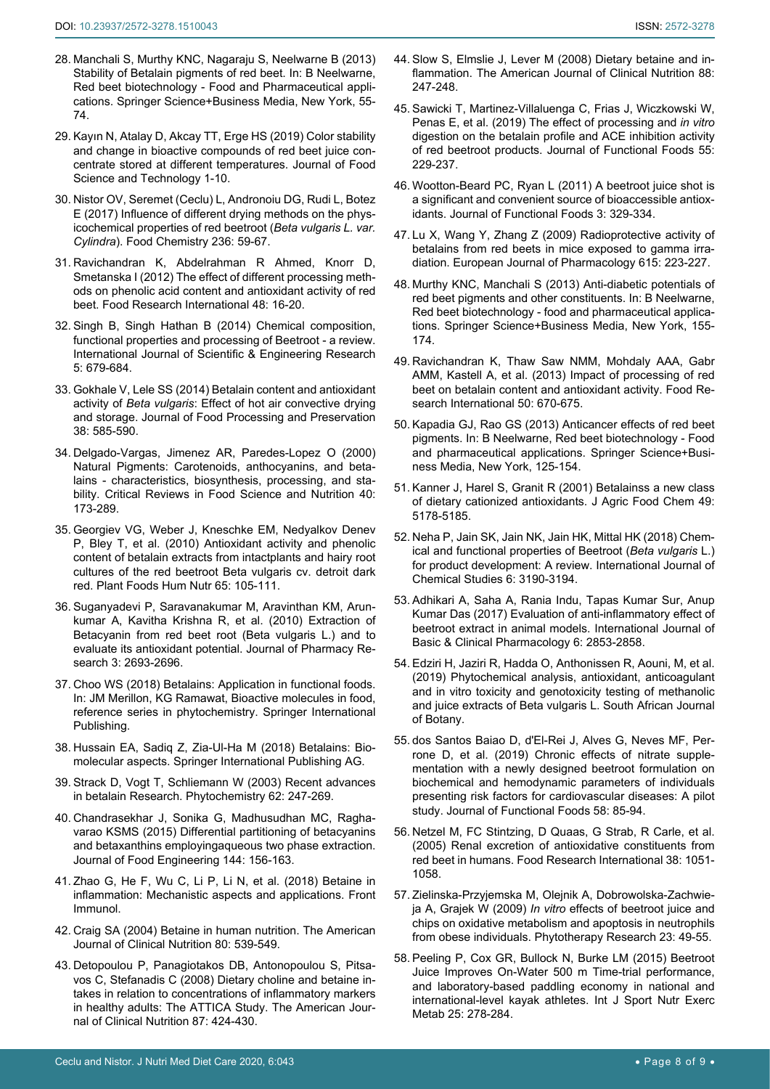- <span id="page-7-1"></span>28. Manchali S, Murthy KNC, Nagaraju S, Neelwarne B (2013) Stability of Betalain pigments of red beet. In: B Neelwarne, Red beet biotechnology - Food and Pharmaceutical applications. Springer Science+Business Media, New York, 55- 74.
- <span id="page-7-2"></span>29. [Kayın N, Atalay D, Akcay TT, Erge HS \(2019\) Color stability](https://europepmc.org/article/med/31741534)  [and change in bioactive compounds of red beet juice con](https://europepmc.org/article/med/31741534)[centrate stored at different temperatures. Journal of Food](https://europepmc.org/article/med/31741534)  [Science and Technology 1-10.](https://europepmc.org/article/med/31741534)
- <span id="page-7-3"></span>30. [Nistor OV, Seremet \(Ceclu\) L, Andronoiu DG, Rudi L, Botez](https://www.sciencedirect.com/science/article/abs/pii/S0308814617307070)  [E \(2017\) Influence of different drying methods on the phys](https://www.sciencedirect.com/science/article/abs/pii/S0308814617307070)[icochemical properties of red beetroot \(](https://www.sciencedirect.com/science/article/abs/pii/S0308814617307070)*Beta vulgaris L. var. Cylindra*[\). Food Chemistry 236: 59-67.](https://www.sciencedirect.com/science/article/abs/pii/S0308814617307070)
- <span id="page-7-4"></span>31. [Ravichandran K, Abdelrahman R Ahmed, Knorr D,](https://www.sciencedirect.com/science/article/abs/pii/S0963996912000610)  [Smetanska I \(2012\) The effect of different processing meth](https://www.sciencedirect.com/science/article/abs/pii/S0963996912000610)[ods on phenolic acid content and antioxidant activity of red](https://www.sciencedirect.com/science/article/abs/pii/S0963996912000610)  [beet. Food Research International 48: 16-20.](https://www.sciencedirect.com/science/article/abs/pii/S0963996912000610)
- <span id="page-7-5"></span>32. [Singh B, Singh Hathan B \(2014\) Chemical composition,](https://www.ijser.org/researchpaper/Chemical-composition-functional-properties-and-processing-of-Beetroot.pdf)  [functional properties and processing of Beetroot - a review.](https://www.ijser.org/researchpaper/Chemical-composition-functional-properties-and-processing-of-Beetroot.pdf)  [International Journal of Scientific & Engineering Research](https://www.ijser.org/researchpaper/Chemical-composition-functional-properties-and-processing-of-Beetroot.pdf)  [5: 679-684.](https://www.ijser.org/researchpaper/Chemical-composition-functional-properties-and-processing-of-Beetroot.pdf)
- <span id="page-7-6"></span>33. [Gokhale V, Lele SS \(2014\) Betalain content and antioxidant](https://ifst.onlinelibrary.wiley.com/doi/abs/10.1111/jfpp.12006)  activity of *Beta vulgaris*[: Effect of hot air convective drying](https://ifst.onlinelibrary.wiley.com/doi/abs/10.1111/jfpp.12006)  [and storage. Journal of Food Processing and Preservation](https://ifst.onlinelibrary.wiley.com/doi/abs/10.1111/jfpp.12006)  [38: 585-590.](https://ifst.onlinelibrary.wiley.com/doi/abs/10.1111/jfpp.12006)
- <span id="page-7-7"></span>34. Delgado-Vargas, Jimenez AR, Paredes-Lopez O (2000) Natural Pigments: Carotenoids, anthocyanins, and betalains - characteristics, biosynthesis, processing, and stability. Critical Reviews in Food Science and Nutrition 40: 173-289.
- <span id="page-7-8"></span>35. [Georgiev VG, Weber J, Kneschke EM, Nedyalkov Denev](https://pubmed.ncbi.nlm.nih.gov/20195764/)  [P, Bley T, et al. \(2010\) Antioxidant activity and phenolic](https://pubmed.ncbi.nlm.nih.gov/20195764/)  [content of betalain extracts from intactplants and hairy root](https://pubmed.ncbi.nlm.nih.gov/20195764/)  [cultures of the red beetroot Beta vulgaris cv. detroit dark](https://pubmed.ncbi.nlm.nih.gov/20195764/)  [red. Plant Foods Hum Nutr 65: 105-111.](https://pubmed.ncbi.nlm.nih.gov/20195764/)
- <span id="page-7-9"></span>36. [Suganyadevi P, Saravanakumar M, Aravinthan KM, Arun](http://jprsolutions.info/article_detail.php?article_id=1028)[kumar A, Kavitha Krishna R, et al. \(2010\) Extraction of](http://jprsolutions.info/article_detail.php?article_id=1028)  [Betacyanin from red beet root \(Beta vulgaris L.\) and to](http://jprsolutions.info/article_detail.php?article_id=1028)  [evaluate its antioxidant potential. Journal of Pharmacy Re](http://jprsolutions.info/article_detail.php?article_id=1028)[search 3: 2693-2696.](http://jprsolutions.info/article_detail.php?article_id=1028)
- <span id="page-7-10"></span>37. [Choo WS \(2018\) Betalains: Application in functional foods.](https://link.springer.com/referenceworkentry/10.1007%2F978-3-319-54528-8_38-2)  [In: JM Merillon, KG Ramawat, Bioactive molecules in food,](https://link.springer.com/referenceworkentry/10.1007%2F978-3-319-54528-8_38-2)  [reference series in phytochemistry. Springer International](https://link.springer.com/referenceworkentry/10.1007%2F978-3-319-54528-8_38-2)  [Publishing.](https://link.springer.com/referenceworkentry/10.1007%2F978-3-319-54528-8_38-2)
- <span id="page-7-18"></span>38. Hussain EA, Sadiq Z, Zia-Ul-Ha M (2018) Betalains: Biomolecular aspects. Springer International Publishing AG.
- <span id="page-7-19"></span>39. [Strack D, Vogt T, Schliemann W \(2003\) Recent advances](https://pubmed.ncbi.nlm.nih.gov/12620337/)  [in betalain Research. Phytochemistry 62: 247-269.](https://pubmed.ncbi.nlm.nih.gov/12620337/)
- <span id="page-7-20"></span>40. [Chandrasekhar J, Sonika G, Madhusudhan MC, Ragha](https://www.sciencedirect.com/science/article/abs/pii/S0260877414003264)[varao KSMS \(2015\) Differential partitioning of betacyanins](https://www.sciencedirect.com/science/article/abs/pii/S0260877414003264)  [and betaxanthins employingaqueous two phase extraction.](https://www.sciencedirect.com/science/article/abs/pii/S0260877414003264)  [Journal of Food Engineering 144: 156-163.](https://www.sciencedirect.com/science/article/abs/pii/S0260877414003264)
- <span id="page-7-21"></span>41. [Zhao G, He F, Wu C, Li P, Li N, et al. \(2018\) Betaine in](https://www.ncbi.nlm.nih.gov/pmc/articles/PMC5976740/)  [inflammation: Mechanistic aspects and applications. Front](https://www.ncbi.nlm.nih.gov/pmc/articles/PMC5976740/)  [Immunol.](https://www.ncbi.nlm.nih.gov/pmc/articles/PMC5976740/)
- <span id="page-7-22"></span>42. [Craig SA \(2004\) Betaine in human nutrition. The American](https://academic.oup.com/ajcn/article/80/3/539/4690529)  [Journal of Clinical Nutrition 80: 539-549.](https://academic.oup.com/ajcn/article/80/3/539/4690529)
- 43. [Detopoulou P, Panagiotakos DB, Antonopoulou S, Pitsa](https://pubmed.ncbi.nlm.nih.gov/18258634/)[vos C, Stefanadis C \(2008\) Dietary choline and betaine in](https://pubmed.ncbi.nlm.nih.gov/18258634/)[takes in relation to concentrations of inflammatory markers](https://pubmed.ncbi.nlm.nih.gov/18258634/)  [in healthy adults: The ATTICA Study. The American Jour](https://pubmed.ncbi.nlm.nih.gov/18258634/)[nal of Clinical Nutrition 87: 424-430.](https://pubmed.ncbi.nlm.nih.gov/18258634/)
- <span id="page-7-23"></span>44. [Slow S, Elmslie J, Lever M \(2008\) Dietary betaine and in](https://academic.oup.com/ajcn/article/88/1/247/4648975)[flammation. The American Journal of Clinical Nutrition 88:](https://academic.oup.com/ajcn/article/88/1/247/4648975)  [247-248.](https://academic.oup.com/ajcn/article/88/1/247/4648975)
- <span id="page-7-24"></span>45. [Sawicki T, Martinez-Villaluenga C, Frias J, Wiczkowski W,](https://www.sciencedirect.com/science/article/abs/pii/S1756464619300611)  [Penas E, et al. \(2019\) The effect of processing and](https://www.sciencedirect.com/science/article/abs/pii/S1756464619300611) *in vitro* [digestion on the betalain profile and ACE inhibition activity](https://www.sciencedirect.com/science/article/abs/pii/S1756464619300611)  [of red beetroot products. Journal of Functional Foods 55:](https://www.sciencedirect.com/science/article/abs/pii/S1756464619300611)  [229-237.](https://www.sciencedirect.com/science/article/abs/pii/S1756464619300611)
- <span id="page-7-25"></span>46. [Wootton-Beard PC, Ryan L \(2011\) A beetroot juice shot is](https://www.cambridge.org/core/journals/proceedings-of-the-nutrition-society/article/beetroot-juice-shot-is-a-significant-and-convenient-source-of-bioaccessible-antioxidants/A1CC9BB0CD7EF49097EF2ECC38040FD6)  [a significant and convenient source of bioaccessible antiox](https://www.cambridge.org/core/journals/proceedings-of-the-nutrition-society/article/beetroot-juice-shot-is-a-significant-and-convenient-source-of-bioaccessible-antioxidants/A1CC9BB0CD7EF49097EF2ECC38040FD6)[idants. Journal of Functional Foods 3: 329-334.](https://www.cambridge.org/core/journals/proceedings-of-the-nutrition-society/article/beetroot-juice-shot-is-a-significant-and-convenient-source-of-bioaccessible-antioxidants/A1CC9BB0CD7EF49097EF2ECC38040FD6)
- <span id="page-7-16"></span>47. [Lu X, Wang Y, Zhang Z \(2009\) Radioprotective activity of](https://www.sciencedirect.com/science/article/abs/pii/S0014299909004427)  [betalains from red beets in mice exposed to gamma irra](https://www.sciencedirect.com/science/article/abs/pii/S0014299909004427)[diation. European Journal of Pharmacology 615: 223-227.](https://www.sciencedirect.com/science/article/abs/pii/S0014299909004427)
- <span id="page-7-26"></span>48. Murthy KNC, Manchali S (2013) Anti-diabetic potentials of red beet pigments and other constituents. In: B Neelwarne, Red beet biotechnology - food and pharmaceutical applications. Springer Science+Business Media, New York, 155- 174.
- <span id="page-7-17"></span>49. [Ravichandran K, Thaw Saw NMM, Mohdaly AAA, Gabr](https://agris.fao.org/agris-search/search.do?recordID=US201500060583)  [AMM, Kastell A, et al. \(2013\) Impact of processing of red](https://agris.fao.org/agris-search/search.do?recordID=US201500060583)  [beet on betalain content and antioxidant activity. Food Re](https://agris.fao.org/agris-search/search.do?recordID=US201500060583)[search International 50: 670-675.](https://agris.fao.org/agris-search/search.do?recordID=US201500060583)
- <span id="page-7-13"></span>50. Kapadia GJ, Rao GS (2013) Anticancer effects of red beet pigments. In: B Neelwarne, Red beet biotechnology - Food and pharmaceutical applications. Springer Science+Business Media, New York, 125-154.
- <span id="page-7-11"></span>51. [Kanner J, Harel S, Granit R \(2001\) Betalainss a new class](https://pubmed.ncbi.nlm.nih.gov/11714300/)  [of dietary cationized antioxidants. J Agric Food Chem 49:](https://pubmed.ncbi.nlm.nih.gov/11714300/)  [5178-5185.](https://pubmed.ncbi.nlm.nih.gov/11714300/)
- <span id="page-7-0"></span>52. [Neha P, Jain SK, Jain NK, Jain HK, Mittal HK \(2018\) Chem](http://www.chemijournal.com/archives/?year=2018&vol=6&issue=3&ArticleId=2889&si=)[ical and functional properties of Beetroot \(](http://www.chemijournal.com/archives/?year=2018&vol=6&issue=3&ArticleId=2889&si=)*Beta vulgaris* L.) [for product development: A review. International Journal of](http://www.chemijournal.com/archives/?year=2018&vol=6&issue=3&ArticleId=2889&si=)  [Chemical Studies 6: 3190-3194.](http://www.chemijournal.com/archives/?year=2018&vol=6&issue=3&ArticleId=2889&si=)
- <span id="page-7-12"></span>53. [Adhikari A, Saha A, Rania Indu, Tapas Kumar Sur, Anup](https://www.ijbcp.com/index.php/ijbcp/article/view/2110)  [Kumar Das \(2017\) Evaluation of anti-inflammatory effect of](https://www.ijbcp.com/index.php/ijbcp/article/view/2110)  [beetroot extract in animal models. International Journal of](https://www.ijbcp.com/index.php/ijbcp/article/view/2110)  [Basic & Clinical Pharmacology 6: 2853-2858.](https://www.ijbcp.com/index.php/ijbcp/article/view/2110)
- <span id="page-7-14"></span>54. [Edziri H, Jaziri R, Hadda O, Anthonissen R, Aouni, M, et al.](https://europepmc.org/article/agr/ind606295271)  [\(2019\) Phytochemical analysis, antioxidant, anticoagulant](https://europepmc.org/article/agr/ind606295271)  [and in vitro toxicity and genotoxicity testing of methanolic](https://europepmc.org/article/agr/ind606295271)  [and juice extracts of Beta vulgaris L. South African Journal](https://europepmc.org/article/agr/ind606295271)  [of Botany.](https://europepmc.org/article/agr/ind606295271)
- <span id="page-7-15"></span>55. [dos Santos Baiao D, d'El-Rei J, Alves G, Neves MF, Per](https://www.sciencedirect.com/science/article/abs/pii/S1756464619302257)[rone D, et al. \(2019\) Chronic effects of nitrate supple](https://www.sciencedirect.com/science/article/abs/pii/S1756464619302257)[mentation with a newly designed beetroot formulation on](https://www.sciencedirect.com/science/article/abs/pii/S1756464619302257)  [biochemical and hemodynamic parameters of individuals](https://www.sciencedirect.com/science/article/abs/pii/S1756464619302257)  [presenting risk factors for cardiovascular diseases: A pilot](https://www.sciencedirect.com/science/article/abs/pii/S1756464619302257)  study. [Journal of Functional Foods 58: 85-94.](https://www.sciencedirect.com/science/article/abs/pii/S1756464619302257)
- <span id="page-7-27"></span>56. [Netzel M, FC Stintzing, D Quaas, G Strab, R Carle, et al.](https://www.sciencedirect.com/science/article/abs/pii/S096399690500116X)  [\(2005\) Renal excretion of antioxidative constituents from](https://www.sciencedirect.com/science/article/abs/pii/S096399690500116X)  [red beet in humans. Food Research International 38: 1051-](https://www.sciencedirect.com/science/article/abs/pii/S096399690500116X) [1058.](https://www.sciencedirect.com/science/article/abs/pii/S096399690500116X)
- <span id="page-7-28"></span>57. [Zielinska-Przyjemska M, Olejnik A, Dobrowolska-Zachwie](https://onlinelibrary.wiley.com/doi/10.1002/ptr.2535)ja A, Grajek W (2009) *In vitro* [effects of beetroot juice and](https://onlinelibrary.wiley.com/doi/10.1002/ptr.2535)  [chips on oxidative metabolism and apoptosis in neutrophils](https://onlinelibrary.wiley.com/doi/10.1002/ptr.2535)  [from obese individuals. Phytotherapy Research 23: 49-55.](https://onlinelibrary.wiley.com/doi/10.1002/ptr.2535)
- <span id="page-7-29"></span>58. [Peeling P, Cox GR, Bullock N, Burke LM \(2015\) Beetroot](https://pubmed.ncbi.nlm.nih.gov/25202886/)  [Juice Improves On-Water 500 m Time-trial performance,](https://pubmed.ncbi.nlm.nih.gov/25202886/)  [and laboratory-based paddling economy in national and](https://pubmed.ncbi.nlm.nih.gov/25202886/)  [international-level kayak athletes. Int J Sport Nutr Exerc](https://pubmed.ncbi.nlm.nih.gov/25202886/)  [Metab 25: 278-284.](https://pubmed.ncbi.nlm.nih.gov/25202886/)